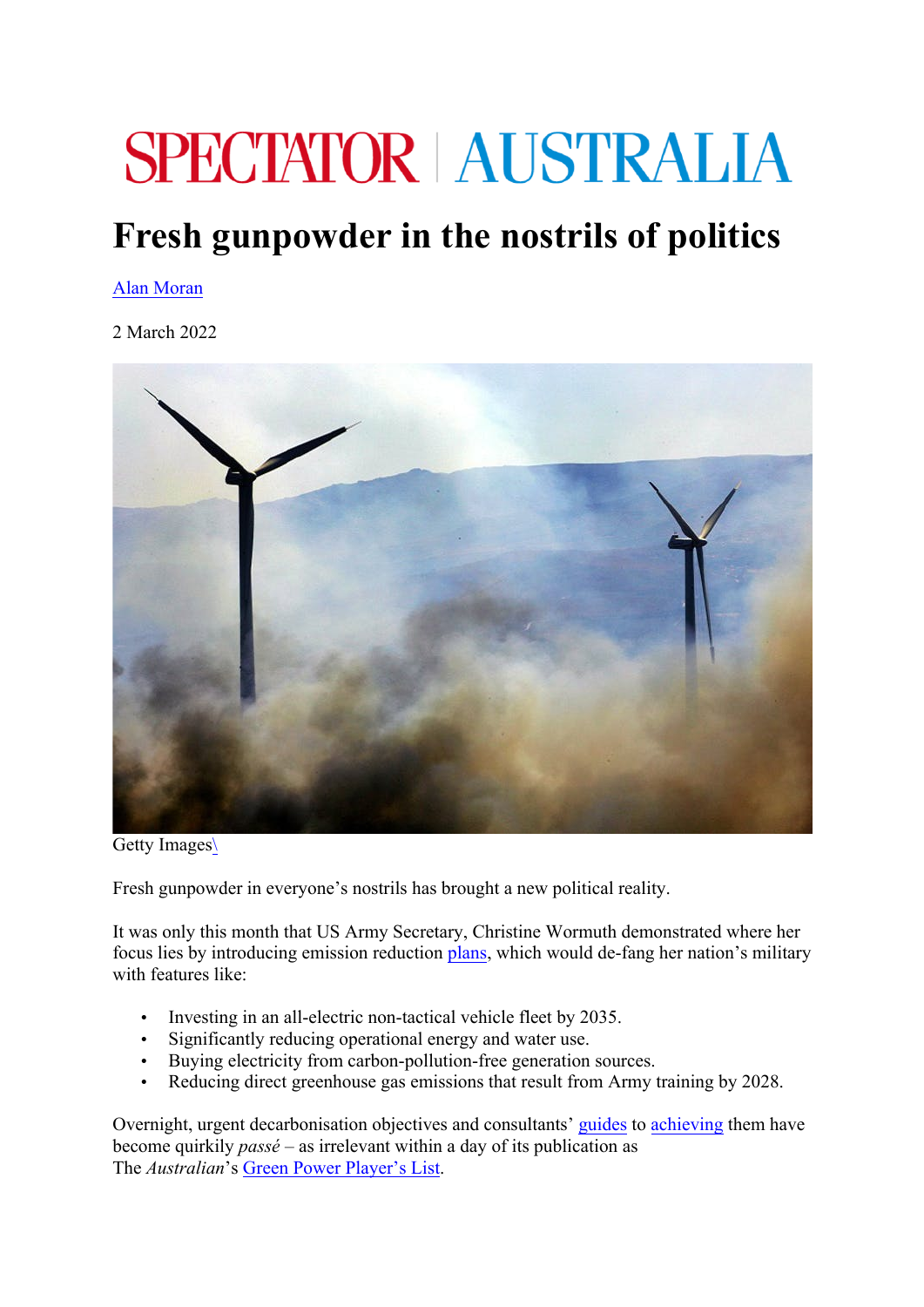## **SPECTATOR AUSTRALIA**

## **Fresh gunpowder in the nostrils of politics**

## Alan Moran

2 March 2022



Getty Images\

Fresh gunpowder in everyone's nostrils has brought a new political reality.

It was only this month that US Army Secretary, Christine Wormuth demonstrated where her focus lies by introducing emission reduction plans, which would de-fang her nation's military with features like:

- Investing in an all-electric non-tactical vehicle fleet by 2035.
- Significantly reducing operational energy and water use.
- Buying electricity from carbon-pollution-free generation sources.
- Reducing direct greenhouse gas emissions that result from Army training by 2028.

Overnight, urgent decarbonisation objectives and consultants' guides to achieving them have become quirkily *passé* – as irrelevant within a day of its publication as The *Australian*'s Green Power Player's List.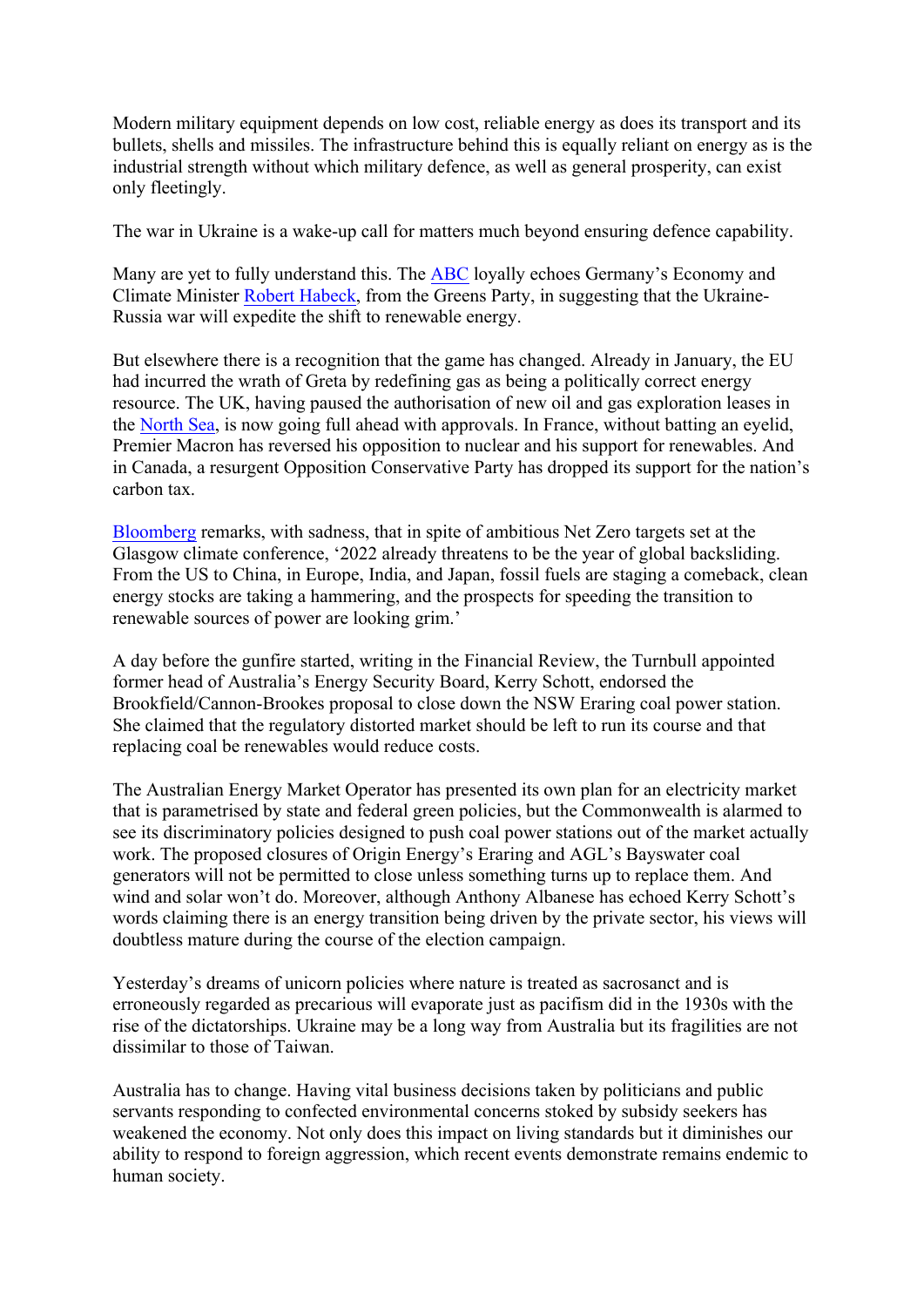Modern military equipment depends on low cost, reliable energy as does its transport and its bullets, shells and missiles. The infrastructure behind this is equally reliant on energy as is the industrial strength without which military defence, as well as general prosperity, can exist only fleetingly.

The war in Ukraine is a wake-up call for matters much beyond ensuring defence capability.

Many are yet to fully understand this. The ABC loyally echoes Germany's Economy and Climate Minister Robert Habeck, from the Greens Party, in suggesting that the Ukraine-Russia war will expedite the shift to renewable energy.

But elsewhere there is a recognition that the game has changed. Already in January, the EU had incurred the wrath of Greta by redefining gas as being a politically correct energy resource. The UK, having paused the authorisation of new oil and gas exploration leases in the North Sea, is now going full ahead with approvals. In France, without batting an eyelid, Premier Macron has reversed his opposition to nuclear and his support for renewables. And in Canada, a resurgent Opposition Conservative Party has dropped its support for the nation's carbon tax.

Bloomberg remarks, with sadness, that in spite of ambitious Net Zero targets set at the Glasgow climate conference, '2022 already threatens to be the year of global backsliding. From the US to China, in Europe, India, and Japan, fossil fuels are staging a comeback, clean energy stocks are taking a hammering, and the prospects for speeding the transition to renewable sources of power are looking grim.'

A day before the gunfire started, writing in the Financial Review, the Turnbull appointed former head of Australia's Energy Security Board, Kerry Schott, endorsed the Brookfield/Cannon-Brookes proposal to close down the NSW Eraring coal power station. She claimed that the regulatory distorted market should be left to run its course and that replacing coal be renewables would reduce costs.

The Australian Energy Market Operator has presented its own plan for an electricity market that is parametrised by state and federal green policies, but the Commonwealth is alarmed to see its discriminatory policies designed to push coal power stations out of the market actually work. The proposed closures of Origin Energy's Eraring and AGL's Bayswater coal generators will not be permitted to close unless something turns up to replace them. And wind and solar won't do. Moreover, although Anthony Albanese has echoed Kerry Schott's words claiming there is an energy transition being driven by the private sector, his views will doubtless mature during the course of the election campaign.

Yesterday's dreams of unicorn policies where nature is treated as sacrosanct and is erroneously regarded as precarious will evaporate just as pacifism did in the 1930s with the rise of the dictatorships. Ukraine may be a long way from Australia but its fragilities are not dissimilar to those of Taiwan.

Australia has to change. Having vital business decisions taken by politicians and public servants responding to confected environmental concerns stoked by subsidy seekers has weakened the economy. Not only does this impact on living standards but it diminishes our ability to respond to foreign aggression, which recent events demonstrate remains endemic to human society.